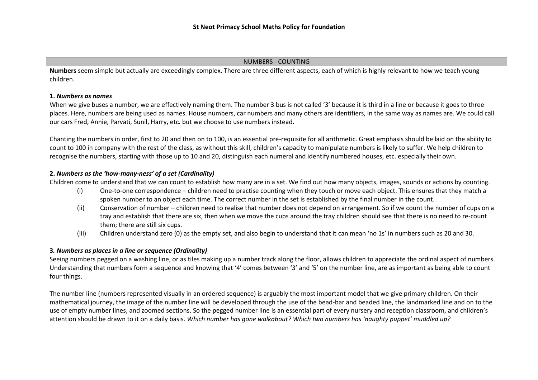#### NUMBERS - COUNTING

**Numbers** seem simple but actually are exceedingly complex. There are three different aspects, each of which is highly relevant to how we teach young children.

### **1.** *Numbers as names*

When we give buses a number, we are effectively naming them. The number 3 bus is not called '3' because it is third in a line or because it goes to three places. Here, numbers are being used as names. House numbers, car numbers and many others are identifiers, in the same way as names are. We could call our cars Fred, Annie, Parvati, Sunil, Harry, etc. but we choose to use numbers instead.

Chanting the numbers in order, first to 20 and then on to 100, is an essential pre-requisite for all arithmetic. Great emphasis should be laid on the ability to count to 100 in company with the rest of the class, as without this skill, children's capacity to manipulate numbers is likely to suffer. We help children to recognise the numbers, starting with those up to 10 and 20, distinguish each numeral and identify numbered houses, etc. especially their own.

# **2.** *Numbers as the 'how-many-ness' of a set (Cardinality)*

Children come to understand that we can count to establish how many are in a set. We find out how many objects, images, sounds or actions by counting.

- (i) One-to-one correspondence children need to practise counting when they touch or move each object. This ensures that they match a spoken number to an object each time. The correct number in the set is established by the final number in the count.
- (ii) Conservation of number children need to realise that number does not depend on arrangement. So if we count the number of cups on a tray and establish that there are six, then when we move the cups around the tray children should see that there is no need to re-count them; there are still six cups.
- (iii) Children understand zero (0) as the empty set, and also begin to understand that it can mean 'no 1s' in numbers such as 20 and 30.

# **3***. Numbers as places in a line or sequence (Ordinality)*

Seeing numbers pegged on a washing line, or as tiles making up a number track along the floor, allows children to appreciate the ordinal aspect of numbers. Understanding that numbers form a sequence and knowing that '4' comes between '3' and '5' on the number line, are as important as being able to count four things.

The number line (numbers represented visually in an ordered sequence) is arguably the most important model that we give primary children. On their mathematical journey, the image of the number line will be developed through the use of the bead-bar and beaded line, the landmarked line and on to the use of empty number lines, and zoomed sections. So the pegged number line is an essential part of every nursery and reception classroom, and children's attention should be drawn to it on a daily basis. *Which number has gone walkabout? Which two numbers has 'naughty puppet' muddled up?*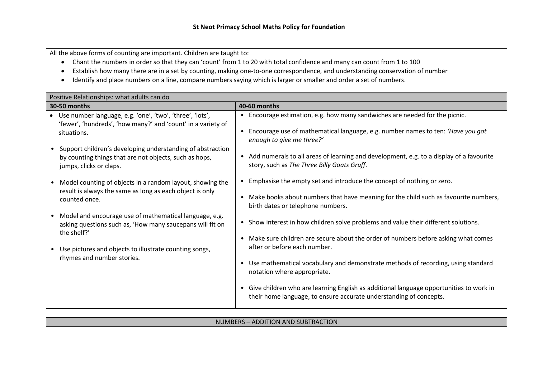All the above forms of counting are important. Children are taught to:

- Chant the numbers in order so that they can 'count' from 1 to 20 with total confidence and many can count from 1 to 100
- Establish how many there are in a set by counting, making one-to-one correspondence, and understanding conservation of number
- Identify and place numbers on a line, compare numbers saying which is larger or smaller and order a set of numbers.

| Positive Relationships: what adults can do                                                                                                                                                                     |                                                                                                                                                                                                                                                                                      |                                                                                                                                                                                                          |  |  |  |
|----------------------------------------------------------------------------------------------------------------------------------------------------------------------------------------------------------------|--------------------------------------------------------------------------------------------------------------------------------------------------------------------------------------------------------------------------------------------------------------------------------------|----------------------------------------------------------------------------------------------------------------------------------------------------------------------------------------------------------|--|--|--|
| 30-50 months                                                                                                                                                                                                   |                                                                                                                                                                                                                                                                                      | 40-60 months                                                                                                                                                                                             |  |  |  |
| • Use number language, e.g. 'one', 'two', 'three', 'lots',<br>'fewer', 'hundreds', 'how many?' and 'count' in a variety of<br>situations.                                                                      |                                                                                                                                                                                                                                                                                      | • Encourage estimation, e.g. how many sandwiches are needed for the picnic.<br>Encourage use of mathematical language, e.g. number names to ten: 'Have you got<br>enough to give me three?'              |  |  |  |
| Support children's developing understanding of abstraction<br>$\bullet$<br>by counting things that are not objects, such as hops,<br>jumps, clicks or claps.                                                   |                                                                                                                                                                                                                                                                                      | • Add numerals to all areas of learning and development, e.g. to a display of a favourite<br>story, such as The Three Billy Goats Gruff.                                                                 |  |  |  |
| Model counting of objects in a random layout, showing the<br>result is always the same as long as each object is only<br>counted once.                                                                         |                                                                                                                                                                                                                                                                                      | Emphasise the empty set and introduce the concept of nothing or zero.<br>Make books about numbers that have meaning for the child such as favourite numbers,<br>birth dates or telephone numbers.        |  |  |  |
| Model and encourage use of mathematical language, e.g.<br>$\bullet$<br>asking questions such as, 'How many saucepans will fit on<br>the shelf?'<br>Use pictures and objects to illustrate counting songs,<br>٠ |                                                                                                                                                                                                                                                                                      | • Show interest in how children solve problems and value their different solutions.<br>Make sure children are secure about the order of numbers before asking what comes<br>after or before each number. |  |  |  |
| rhymes and number stories.                                                                                                                                                                                     | Use mathematical vocabulary and demonstrate methods of recording, using standard<br>٠<br>notation where appropriate.<br>Give children who are learning English as additional language opportunities to work in<br>their home language, to ensure accurate understanding of concepts. |                                                                                                                                                                                                          |  |  |  |

# NUMBERS – ADDITION AND SUBTRACTION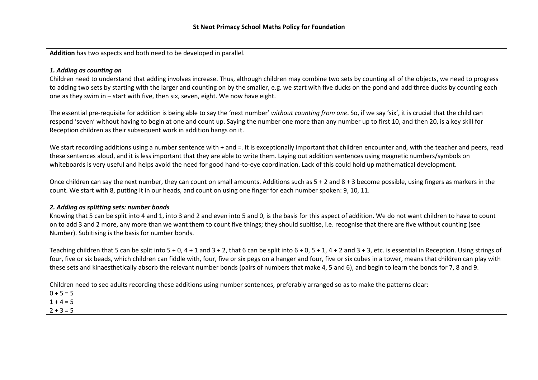**Addition** has two aspects and both need to be developed in parallel.

## *1. Adding as counting on*

Children need to understand that adding involves increase. Thus, although children may combine two sets by counting all of the objects, we need to progress to adding two sets by starting with the larger and counting on by the smaller, e.g. we start with five ducks on the pond and add three ducks by counting each one as they swim in – start with five, then six, seven, eight. We now have eight.

The essential pre-requisite for addition is being able to say the 'next number' *without counting from one*. So, if we say 'six', it is crucial that the child can respond 'seven' without having to begin at one and count up. Saying the number one more than any number up to first 10, and then 20, is a key skill for Reception children as their subsequent work in addition hangs on it.

We start recording additions using a number sentence with + and =. It is exceptionally important that children encounter and, with the teacher and peers, read these sentences aloud, and it is less important that they are able to write them. Laying out addition sentences using magnetic numbers/symbols on whiteboards is very useful and helps avoid the need for good hand-to-eye coordination. Lack of this could hold up mathematical development.

Once children can say the next number, they can count on small amounts. Additions such as  $5 + 2$  and  $8 + 3$  become possible, using fingers as markers in the count. We start with 8, putting it in our heads, and count on using one finger for each number spoken: 9, 10, 11.

### *2. Adding as splitting sets: number bonds*

Knowing that 5 can be split into 4 and 1, into 3 and 2 and even into 5 and 0, is the basis for this aspect of addition. We do not want children to have to count on to add 3 and 2 more, any more than we want them to count five things; they should subitise, i.e. recognise that there are five without counting (see Number). Subitising is the basis for number bonds.

Teaching children that 5 can be split into  $5 + 0$ ,  $4 + 1$  and  $3 + 2$ , that 6 can be split into  $6 + 0$ ,  $5 + 1$ ,  $4 + 2$  and  $3 + 3$ , etc. is essential in Reception. Using strings of four, five or six beads, which children can fiddle with, four, five or six pegs on a hanger and four, five or six cubes in a tower, means that children can play with these sets and kinaesthetically absorb the relevant number bonds (pairs of numbers that make 4, 5 and 6), and begin to learn the bonds for 7, 8 and 9.

Children need to see adults recording these additions using number sentences, preferably arranged so as to make the patterns clear:

 $0 + 5 = 5$ 

 $1 + 4 = 5$ 

 $2 + 3 = 5$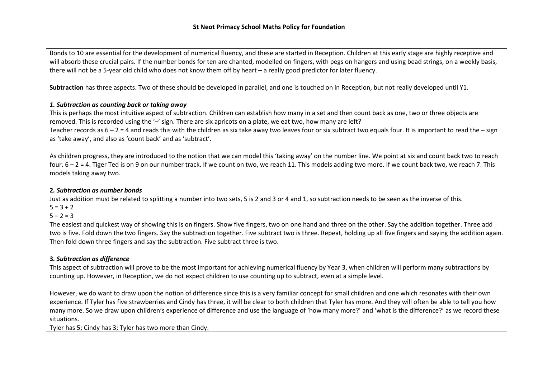Bonds to 10 are essential for the development of numerical fluency, and these are started in Reception. Children at this early stage are highly receptive and will absorb these crucial pairs. If the number bonds for ten are chanted, modelled on fingers, with pegs on hangers and using bead strings, on a weekly basis, there will not be a 5-year old child who does not know them off by heart – a really good predictor for later fluency.

**Subtraction** has three aspects. Two of these should be developed in parallel, and one is touched on in Reception, but not really developed until Y1.

# *1. Subtraction as counting back or taking away*

This is perhaps the most intuitive aspect of subtraction. Children can establish how many in a set and then count back as one, two or three objects are removed. This is recorded using the '–' sign. There are six apricots on a plate, we eat two, how many are left? Teacher records as  $6 - 2 = 4$  and reads this with the children as six take away two leaves four or six subtract two equals four. It is important to read the  $-$  sign as 'take away', and also as 'count back' and as 'subtract'.

As children progress, they are introduced to the notion that we can model this 'taking away' on the number line. We point at six and count back two to reach four. 6 – 2 = 4. Tiger Ted is on 9 on our number track. If we count on two, we reach 11. This models adding two more. If we count back two, we reach 7. This models taking away two.

# **2***. Subtraction as number bonds*

Just as addition must be related to splitting a number into two sets, 5 is 2 and 3 or 4 and 1, so subtraction needs to be seen as the inverse of this.  $5 = 3 + 2$ 

 $5 - 2 = 3$ 

The easiest and quickest way of showing this is on fingers. Show five fingers, two on one hand and three on the other. Say the addition together. Three add two is five. Fold down the two fingers. Say the subtraction together. Five subtract two is three. Repeat, holding up all five fingers and saying the addition again. Then fold down three fingers and say the subtraction. Five subtract three is two.

# **3***. Subtraction as difference*

This aspect of subtraction will prove to be the most important for achieving numerical fluency by Year 3, when children will perform many subtractions by counting up. However, in Reception, we do not expect children to use counting up to subtract, even at a simple level.

However, we do want to draw upon the notion of difference since this is a very familiar concept for small children and one which resonates with their own experience. If Tyler has five strawberries and Cindy has three, it will be clear to both children that Tyler has more. And they will often be able to tell you how many more. So we draw upon children's experience of difference and use the language of 'how many more?' and 'what is the difference?' as we record these situations.

Tyler has 5; Cindy has 3; Tyler has two more than Cindy.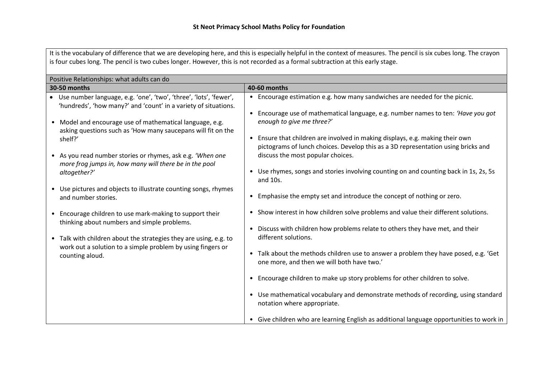It is the vocabulary of difference that we are developing here, and this is especially helpful in the context of measures. The pencil is six cubes long. The crayon is four cubes long. The pencil is two cubes longer. However, this is not recorded as a formal subtraction at this early stage.

| Positive Relationships: what adults can do                                                                                           |                                                                                                                                                                                                            |  |  |  |
|--------------------------------------------------------------------------------------------------------------------------------------|------------------------------------------------------------------------------------------------------------------------------------------------------------------------------------------------------------|--|--|--|
| 30-50 months                                                                                                                         | <b>40-60 months</b>                                                                                                                                                                                        |  |  |  |
| Use number language, e.g. 'one', 'two', 'three', 'lots', 'fewer',<br>'hundreds', 'how many?' and 'count' in a variety of situations. | • Encourage estimation e.g. how many sandwiches are needed for the picnic.<br>Encourage use of mathematical language, e.g. number names to ten: 'Have you got                                              |  |  |  |
| • Model and encourage use of mathematical language, e.g.<br>asking questions such as 'How many saucepans will fit on the<br>shelf?'  | enough to give me three?'<br>Ensure that children are involved in making displays, e.g. making their own<br>$\bullet$<br>pictograms of lunch choices. Develop this as a 3D representation using bricks and |  |  |  |
| • As you read number stories or rhymes, ask e.g. 'When one<br>more frog jumps in, how many will there be in the pool<br>altogether?' | discuss the most popular choices.<br>Use rhymes, songs and stories involving counting on and counting back in 1s, 2s, 5s<br>٠                                                                              |  |  |  |
| • Use pictures and objects to illustrate counting songs, rhymes<br>and number stories.                                               | and 10s.<br>Emphasise the empty set and introduce the concept of nothing or zero.<br>$\bullet$                                                                                                             |  |  |  |
| • Encourage children to use mark-making to support their<br>thinking about numbers and simple problems.                              | Show interest in how children solve problems and value their different solutions.<br>$\bullet$                                                                                                             |  |  |  |
| • Talk with children about the strategies they are using, e.g. to<br>work out a solution to a simple problem by using fingers or     | Discuss with children how problems relate to others they have met, and their<br>$\bullet$<br>different solutions.                                                                                          |  |  |  |
| counting aloud.                                                                                                                      | Talk about the methods children use to answer a problem they have posed, e.g. 'Get<br>$\bullet$<br>one more, and then we will both have two.'                                                              |  |  |  |
|                                                                                                                                      | Encourage children to make up story problems for other children to solve.<br>$\bullet$                                                                                                                     |  |  |  |
|                                                                                                                                      | Use mathematical vocabulary and demonstrate methods of recording, using standard<br>$\bullet$<br>notation where appropriate.                                                                               |  |  |  |
|                                                                                                                                      | • Give children who are learning English as additional language opportunities to work in                                                                                                                   |  |  |  |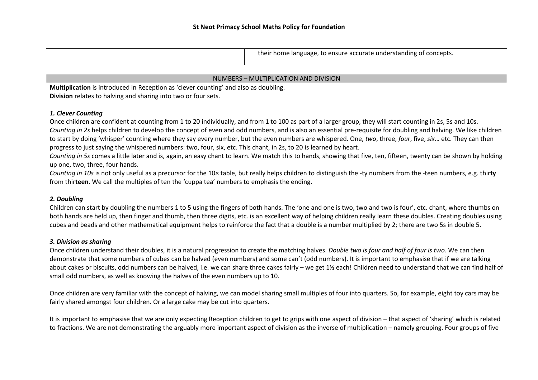| their home language, to ensure accurate understanding of concepts. |
|--------------------------------------------------------------------|
|                                                                    |

| NUMBERS - MULTIPLICATION AND DIVISION                                                                                                                              |  |  |  |
|--------------------------------------------------------------------------------------------------------------------------------------------------------------------|--|--|--|
| Multiplication is introduced in Reception as 'clever counting' and also as doubling.                                                                               |  |  |  |
| Division relates to halving and sharing into two or four sets.                                                                                                     |  |  |  |
|                                                                                                                                                                    |  |  |  |
| 1. Clever Counting                                                                                                                                                 |  |  |  |
| Once children are confident at counting from 1 to 20 individually, and from 1 to 100 as part of a larger group, they will start counting in 2s, 5s and 10s.        |  |  |  |
| Counting in 2s helps children to develop the concept of even and odd numbers, and is also an essential pre-requisite for doubling and halving. We like children    |  |  |  |
| to start by doing 'whisper' counting where they say every number, but the even numbers are whispered. One, two, three, four, five, six etc. They can then          |  |  |  |
| progress to just saying the whispered numbers: two, four, six, etc. This chant, in 2s, to 20 is learned by heart.                                                  |  |  |  |
| Counting in 5s comes a little later and is, again, an easy chant to learn. We match this to hands, showing that five, ten, fifteen, twenty can be shown by holding |  |  |  |
| up one, two, three, four hands.                                                                                                                                    |  |  |  |

*Counting in 10s* is not only useful as a precursor for the 10× table, but really helps children to distinguish the -ty numbers from the -teen numbers, e.g. thir**ty** from thir**teen**. We call the multiples of ten the 'cuppa tea' numbers to emphasis the ending.

### *2. Doubling*

Children can start by doubling the numbers 1 to 5 using the fingers of both hands. The 'one and one is two, two and two is four', etc. chant, where thumbs on both hands are held up, then finger and thumb, then three digits, etc. is an excellent way of helping children really learn these doubles. Creating doubles using cubes and beads and other mathematical equipment helps to reinforce the fact that a double is a number multiplied by 2; there are two 5s in double 5.

### *3. Division as sharing*

Once children understand their doubles, it is a natural progression to create the matching halves. *Double two is four and half of four is two*. We can then demonstrate that some numbers of cubes can be halved (even numbers) and some can't (odd numbers). It is important to emphasise that if we are talking about cakes or biscuits, odd numbers can be halved, i.e. we can share three cakes fairly – we get 1½ each! Children need to understand that we can find half of small odd numbers, as well as knowing the halves of the even numbers up to 10.

Once children are very familiar with the concept of halving, we can model sharing small multiples of four into quarters. So, for example, eight toy cars may be fairly shared amongst four children. Or a large cake may be cut into quarters.

It is important to emphasise that we are only expecting Reception children to get to grips with one aspect of division – that aspect of 'sharing' which is related to fractions. We are not demonstrating the arguably more important aspect of division as the inverse of multiplication – namely grouping. Four groups of five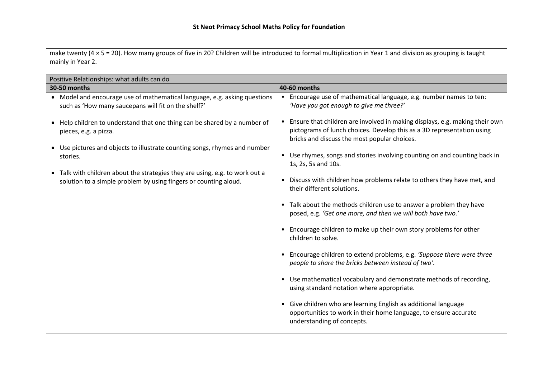make twenty (4 × 5 = 20). How many groups of five in 20? Children will be introduced to formal multiplication in Year 1 and division as grouping is taught mainly in Year 2.

| Positive Relationships: what adults can do |                                                                                                                                                  |  |                                                                                                                                                                                                         |  |  |  |
|--------------------------------------------|--------------------------------------------------------------------------------------------------------------------------------------------------|--|---------------------------------------------------------------------------------------------------------------------------------------------------------------------------------------------------------|--|--|--|
| 30-50 months                               |                                                                                                                                                  |  | 40-60 months                                                                                                                                                                                            |  |  |  |
|                                            | • Model and encourage use of mathematical language, e.g. asking questions<br>such as 'How many saucepans will fit on the shelf?'                 |  | • Encourage use of mathematical language, e.g. number names to ten:<br>'Have you got enough to give me three?'                                                                                          |  |  |  |
|                                            | • Help children to understand that one thing can be shared by a number of<br>pieces, e.g. a pizza.                                               |  | • Ensure that children are involved in making displays, e.g. making their own<br>pictograms of lunch choices. Develop this as a 3D representation using<br>bricks and discuss the most popular choices. |  |  |  |
|                                            | • Use pictures and objects to illustrate counting songs, rhymes and number                                                                       |  |                                                                                                                                                                                                         |  |  |  |
|                                            | stories.                                                                                                                                         |  | • Use rhymes, songs and stories involving counting on and counting back in<br>1s, 2s, 5s and 10s.                                                                                                       |  |  |  |
|                                            | • Talk with children about the strategies they are using, e.g. to work out a<br>solution to a simple problem by using fingers or counting aloud. |  | • Discuss with children how problems relate to others they have met, and<br>their different solutions.                                                                                                  |  |  |  |
|                                            |                                                                                                                                                  |  | • Talk about the methods children use to answer a problem they have<br>posed, e.g. 'Get one more, and then we will both have two.'                                                                      |  |  |  |
|                                            |                                                                                                                                                  |  | • Encourage children to make up their own story problems for other<br>children to solve.                                                                                                                |  |  |  |
|                                            |                                                                                                                                                  |  | • Encourage children to extend problems, e.g. 'Suppose there were three<br>people to share the bricks between instead of two'.                                                                          |  |  |  |
|                                            |                                                                                                                                                  |  | • Use mathematical vocabulary and demonstrate methods of recording,<br>using standard notation where appropriate.                                                                                       |  |  |  |
|                                            |                                                                                                                                                  |  | • Give children who are learning English as additional language<br>opportunities to work in their home language, to ensure accurate<br>understanding of concepts.                                       |  |  |  |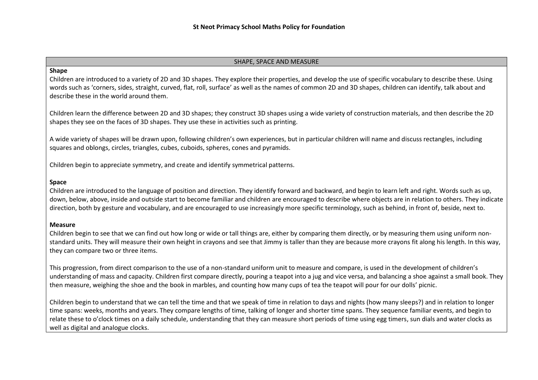#### SHAPE, SPACE AND MEASURE

# **Shape**

Children are introduced to a variety of 2D and 3D shapes. They explore their properties, and develop the use of specific vocabulary to describe these. Using words such as 'corners, sides, straight, curved, flat, roll, surface' as well as the names of common 2D and 3D shapes, children can identify, talk about and describe these in the world around them.

Children learn the difference between 2D and 3D shapes; they construct 3D shapes using a wide variety of construction materials, and then describe the 2D shapes they see on the faces of 3D shapes. They use these in activities such as printing.

A wide variety of shapes will be drawn upon, following children's own experiences, but in particular children will name and discuss rectangles, including squares and oblongs, circles, triangles, cubes, cuboids, spheres, cones and pyramids.

Children begin to appreciate symmetry, and create and identify symmetrical patterns.

#### **Space**

Children are introduced to the language of position and direction. They identify forward and backward, and begin to learn left and right. Words such as up, down, below, above, inside and outside start to become familiar and children are encouraged to describe where objects are in relation to others. They indicate direction, both by gesture and vocabulary, and are encouraged to use increasingly more specific terminology, such as behind, in front of, beside, next to.

### **Measure**

Children begin to see that we can find out how long or wide or tall things are, either by comparing them directly, or by measuring them using uniform nonstandard units. They will measure their own height in crayons and see that Jimmy is taller than they are because more crayons fit along his length. In this way, they can compare two or three items.

This progression, from direct comparison to the use of a non-standard uniform unit to measure and compare, is used in the development of children's understanding of mass and capacity. Children first compare directly, pouring a teapot into a jug and vice versa, and balancing a shoe against a small book. They then measure, weighing the shoe and the book in marbles, and counting how many cups of tea the teapot will pour for our dolls' picnic.

Children begin to understand that we can tell the time and that we speak of time in relation to days and nights (how many sleeps?) and in relation to longer time spans: weeks, months and years. They compare lengths of time, talking of longer and shorter time spans. They sequence familiar events, and begin to relate these to o'clock times on a daily schedule, understanding that they can measure short periods of time using egg timers, sun dials and water clocks as well as digital and analogue clocks.